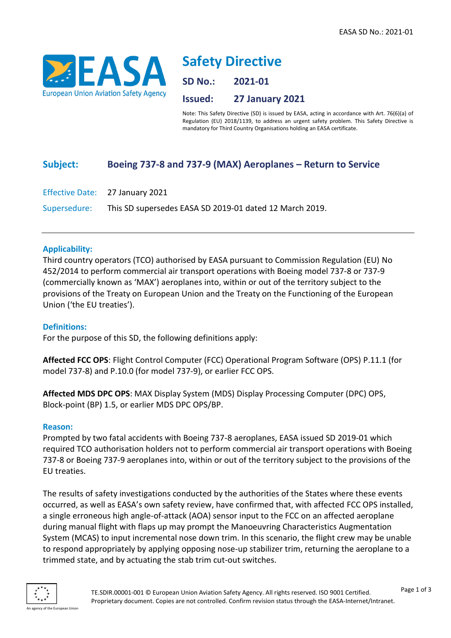

# **Safety Directive**

**SD No.: 2021-01**

**Issued: 27 January 2021**

Note: This Safety Directive (SD) is issued by EASA, acting in accordance with Art. 76(6)(a) of Regulation (EU) 2018/1139, to address an urgent safety problem. This Safety Directive is mandatory for Third Country Organisations holding an EASA certificate.

## **Subject: Boeing 737-8 and 737-9 (MAX) Aeroplanes – Return to Service**

Effective Date: 27 January 2021 Supersedure: This SD supersedes EASA SD 2019-01 dated 12 March 2019.

#### **Applicability:**

Third country operators (TCO) authorised by EASA pursuant to Commission Regulation (EU) No 452/2014 to perform commercial air transport operations with Boeing model 737-8 or 737-9 (commercially known as 'MAX') aeroplanes into, within or out of the territory subject to the provisions of the Treaty on European Union and the Treaty on the Functioning of the European Union ('the EU treaties').

#### **Definitions:**

For the purpose of this SD, the following definitions apply:

**Affected FCC OPS**: Flight Control Computer (FCC) Operational Program Software (OPS) P.11.1 (for model 737-8) and P.10.0 (for model 737-9), or earlier FCC OPS.

**Affected MDS DPC OPS**: MAX Display System (MDS) Display Processing Computer (DPC) OPS, Block-point (BP) 1.5, or earlier MDS DPC OPS/BP.

#### **Reason:**

Prompted by two fatal accidents with Boeing 737-8 aeroplanes, EASA issued SD 2019-01 which required TCO authorisation holders not to perform commercial air transport operations with Boeing 737-8 or Boeing 737-9 aeroplanes into, within or out of the territory subject to the provisions of the EU treaties.

The results of safety investigations conducted by the authorities of the States where these events occurred, as well as EASA's own safety review, have confirmed that, with affected FCC OPS installed, a single erroneous high angle-of-attack (AOA) sensor input to the FCC on an affected aeroplane during manual flight with flaps up may prompt the Manoeuvring Characteristics Augmentation System (MCAS) to input incremental nose down trim. In this scenario, the flight crew may be unable to respond appropriately by applying opposing nose-up stabilizer trim, returning the aeroplane to a trimmed state, and by actuating the stab trim cut-out switches.

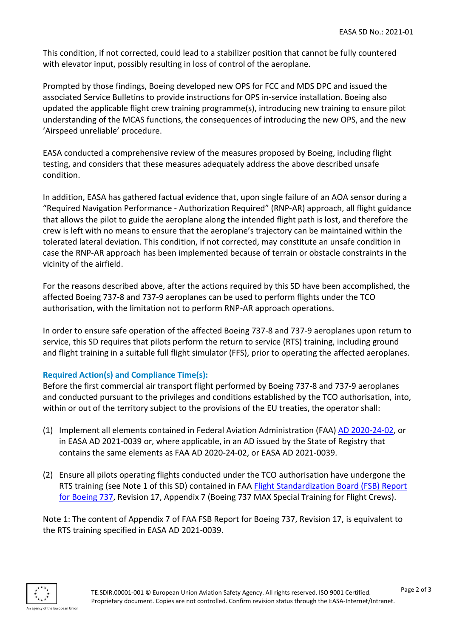This condition, if not corrected, could lead to a stabilizer position that cannot be fully countered with elevator input, possibly resulting in loss of control of the aeroplane.

Prompted by those findings, Boeing developed new OPS for FCC and MDS DPC and issued the associated Service Bulletins to provide instructions for OPS in-service installation. Boeing also updated the applicable flight crew training programme(s), introducing new training to ensure pilot understanding of the MCAS functions, the consequences of introducing the new OPS, and the new 'Airspeed unreliable' procedure.

EASA conducted a comprehensive review of the measures proposed by Boeing, including flight testing, and considers that these measures adequately address the above described unsafe condition.

In addition, EASA has gathered factual evidence that, upon single failure of an AOA sensor during a "Required Navigation Performance - Authorization Required" (RNP-AR) approach, all flight guidance that allows the pilot to guide the aeroplane along the intended flight path is lost, and therefore the crew is left with no means to ensure that the aeroplane's trajectory can be maintained within the tolerated lateral deviation. This condition, if not corrected, may constitute an unsafe condition in case the RNP-AR approach has been implemented because of terrain or obstacle constraints in the vicinity of the airfield.

For the reasons described above, after the actions required by this SD have been accomplished, the affected Boeing 737-8 and 737-9 aeroplanes can be used to perform flights under the TCO authorisation, with the limitation not to perform RNP-AR approach operations.

In order to ensure safe operation of the affected Boeing 737-8 and 737-9 aeroplanes upon return to service, this SD requires that pilots perform the return to service (RTS) training, including ground and flight training in a suitable full flight simulator (FFS), prior to operating the affected aeroplanes.

### **Required Action(s) and Compliance Time(s):**

Before the first commercial air transport flight performed by Boeing 737-8 and 737-9 aeroplanes and conducted pursuant to the privileges and conditions established by the TCO authorisation, into, within or out of the territory subject to the provisions of the EU treaties, the operator shall:

- (1) Implement all elements contained in Federal Aviation Administration (FAA) [AD 2020-24-02,](https://rgl.faa.gov/Regulatory_and_Guidance_Library/rgad.nsf/0/fb91abc41ef06432862586260051e5df/$FILE/2020-24-02.pdf) or in EASA AD 2021-0039 or, where applicable, in an AD issued by the State of Registry that contains the same elements as FAA AD 2020-24-02, or EASA AD 2021-0039.
- (2) Ensure all pilots operating flights conducted under the TCO authorisation have undergone the RTS training (see Note 1 of this SD) contained in FAA [Flight Standardization Board \(FSB\) Report](https://fsims.faa.gov/PICDetail.aspx?docId=FSB%20B737%20Rev%2017)  [for Boeing 737,](https://fsims.faa.gov/PICDetail.aspx?docId=FSB%20B737%20Rev%2017) Revision 17, Appendix 7 (Boeing 737 MAX Special Training for Flight Crews).

Note 1: The content of Appendix 7 of FAA FSB Report for Boeing 737, Revision 17, is equivalent to the RTS training specified in EASA AD 2021-0039.